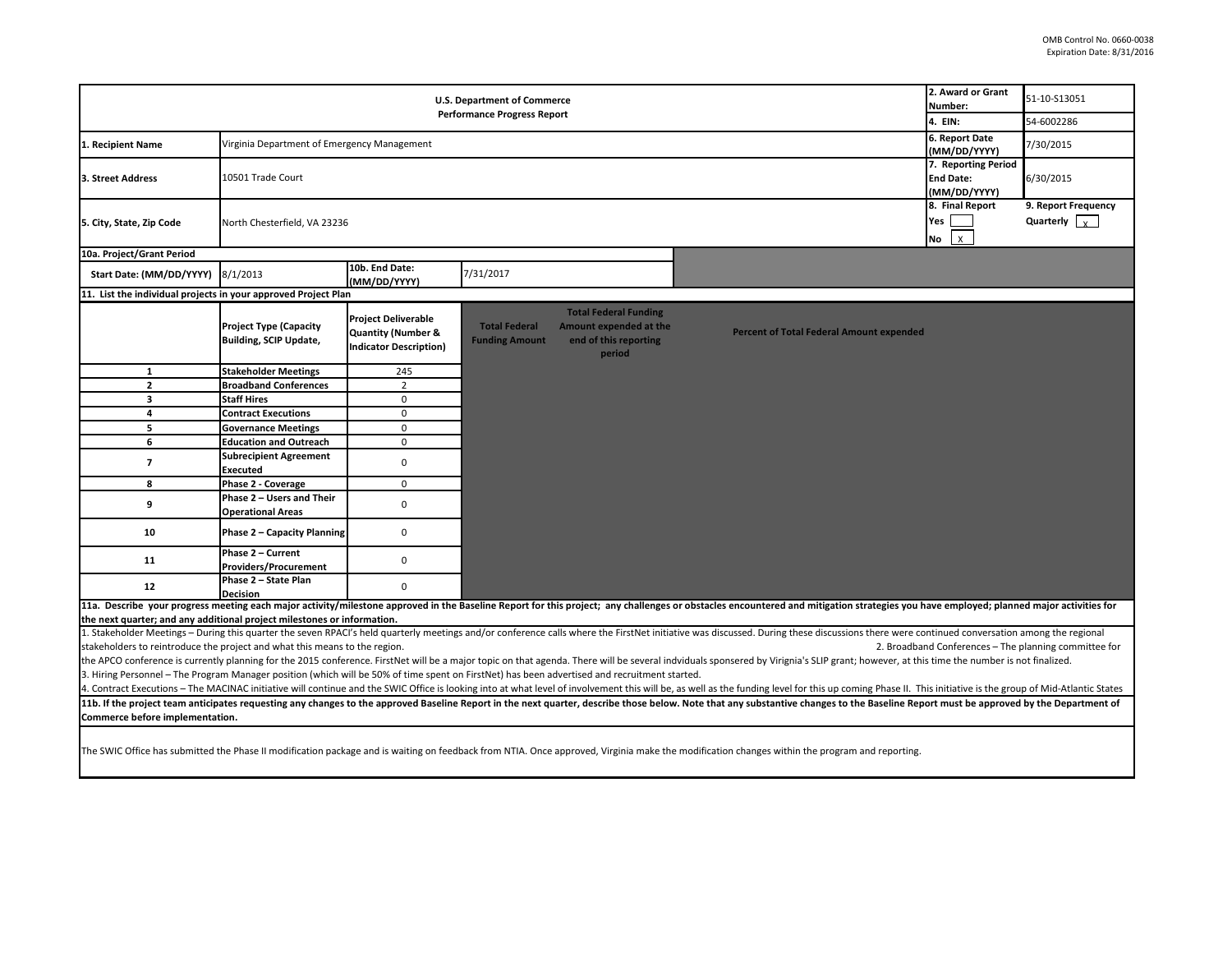| <b>U.S. Department of Commerce</b><br><b>Performance Progress Report</b>                                                                                                                                                                                                                                                                                              |                                                         |                                                                                              |                                               |                                                                                           |                                                 | 2. Award or Grant<br>Number:<br>4. EIN:                 | 51-10-S13051<br>54-6002286                             |  |
|-----------------------------------------------------------------------------------------------------------------------------------------------------------------------------------------------------------------------------------------------------------------------------------------------------------------------------------------------------------------------|---------------------------------------------------------|----------------------------------------------------------------------------------------------|-----------------------------------------------|-------------------------------------------------------------------------------------------|-------------------------------------------------|---------------------------------------------------------|--------------------------------------------------------|--|
| 1. Recipient Name                                                                                                                                                                                                                                                                                                                                                     | Virginia Department of Emergency Management             |                                                                                              |                                               |                                                                                           |                                                 | 6. Report Date<br>(MM/DD/YYYY)                          | 7/30/2015                                              |  |
| 3. Street Address                                                                                                                                                                                                                                                                                                                                                     | 10501 Trade Court                                       |                                                                                              |                                               |                                                                                           |                                                 | 7. Reporting Period<br><b>End Date:</b><br>(MM/DD/YYYY) | 6/30/2015                                              |  |
| 5. City, State, Zip Code                                                                                                                                                                                                                                                                                                                                              | North Chesterfield, VA 23236                            |                                                                                              |                                               |                                                                                           |                                                 | 8. Final Report<br>Yes<br>$\mathsf{x}$<br>No            | 9. Report Frequency<br>Quarterly $\vert \cdot \rangle$ |  |
| 10a. Project/Grant Period                                                                                                                                                                                                                                                                                                                                             |                                                         |                                                                                              |                                               |                                                                                           |                                                 |                                                         |                                                        |  |
| Start Date: (MM/DD/YYYY)                                                                                                                                                                                                                                                                                                                                              | 8/1/2013                                                | 10b. End Date:<br>(MM/DD/YYYY)                                                               | 7/31/2017                                     |                                                                                           |                                                 |                                                         |                                                        |  |
| 11. List the individual projects in your approved Project Plan                                                                                                                                                                                                                                                                                                        |                                                         |                                                                                              |                                               |                                                                                           |                                                 |                                                         |                                                        |  |
|                                                                                                                                                                                                                                                                                                                                                                       | <b>Project Type (Capacity</b><br>Building, SCIP Update, | <b>Project Deliverable</b><br><b>Quantity (Number &amp;</b><br><b>Indicator Description)</b> | <b>Total Federal</b><br><b>Funding Amount</b> | <b>Total Federal Funding</b><br>Amount expended at the<br>end of this reporting<br>period | <b>Percent of Total Federal Amount expended</b> |                                                         |                                                        |  |
| $\mathbf{1}$                                                                                                                                                                                                                                                                                                                                                          | <b>Stakeholder Meetings</b>                             | 245                                                                                          |                                               |                                                                                           |                                                 |                                                         |                                                        |  |
| $\overline{2}$                                                                                                                                                                                                                                                                                                                                                        | <b>Broadband Conferences</b>                            | $\overline{2}$                                                                               |                                               |                                                                                           |                                                 |                                                         |                                                        |  |
| $\overline{\mathbf{3}}$                                                                                                                                                                                                                                                                                                                                               | <b>Staff Hires</b>                                      | $\mathbf 0$                                                                                  |                                               |                                                                                           |                                                 |                                                         |                                                        |  |
| 4                                                                                                                                                                                                                                                                                                                                                                     | <b>Contract Executions</b>                              | $\mathbf 0$                                                                                  |                                               |                                                                                           |                                                 |                                                         |                                                        |  |
| 5                                                                                                                                                                                                                                                                                                                                                                     | <b>Governance Meetings</b>                              | $\mathbf 0$                                                                                  |                                               |                                                                                           |                                                 |                                                         |                                                        |  |
| 6                                                                                                                                                                                                                                                                                                                                                                     | <b>Education and Outreach</b>                           | 0                                                                                            |                                               |                                                                                           |                                                 |                                                         |                                                        |  |
| $\overline{7}$                                                                                                                                                                                                                                                                                                                                                        | <b>Subrecipient Agreement</b><br>Executed               | $\mathbf 0$                                                                                  |                                               |                                                                                           |                                                 |                                                         |                                                        |  |
| 8                                                                                                                                                                                                                                                                                                                                                                     | Phase 2 - Coverage                                      | $\mathbf 0$                                                                                  |                                               |                                                                                           |                                                 |                                                         |                                                        |  |
| 9                                                                                                                                                                                                                                                                                                                                                                     | Phase 2 - Users and Their<br><b>Operational Areas</b>   | $\mathbf 0$                                                                                  |                                               |                                                                                           |                                                 |                                                         |                                                        |  |
| 10                                                                                                                                                                                                                                                                                                                                                                    | Phase 2 - Capacity Planning                             | $\mathbf 0$                                                                                  |                                               |                                                                                           |                                                 |                                                         |                                                        |  |
| 11                                                                                                                                                                                                                                                                                                                                                                    | Phase 2 - Current<br><b>Providers/Procurement</b>       | $\mathbf 0$                                                                                  |                                               |                                                                                           |                                                 |                                                         |                                                        |  |
| 12                                                                                                                                                                                                                                                                                                                                                                    | Phase 2 - State Plan<br><b>Decision</b>                 | $\mathbf 0$                                                                                  |                                               |                                                                                           |                                                 |                                                         |                                                        |  |
| 11a. Describe your progress meeting each major activity/milestone approved in the Baseline Report for this project; any challenges or obstacles encountered and mitigation strategies you have employed; planned major activit                                                                                                                                        |                                                         |                                                                                              |                                               |                                                                                           |                                                 |                                                         |                                                        |  |
| the next quarter; and any additional project milestones or information.                                                                                                                                                                                                                                                                                               |                                                         |                                                                                              |                                               |                                                                                           |                                                 |                                                         |                                                        |  |
| 1. Stakeholder Meetings - During this quarter the seven RPACI's held quarterly meetings and/or conference calls where the FirstNet initiative was discussed. During these discussions there were continued conversation among                                                                                                                                         |                                                         |                                                                                              |                                               |                                                                                           |                                                 |                                                         |                                                        |  |
| stakeholders to reintroduce the project and what this means to the region.<br>2. Broadband Conferences - The planning committee for<br>the APCO conference is currently planning for the 2015 conference. FirstNet will be a major topic on that agenda. There will be several indviduals sponsered by Virignia's SLIP grant; however, at this time the number is not |                                                         |                                                                                              |                                               |                                                                                           |                                                 |                                                         |                                                        |  |
| 3. Hiring Personnel – The Program Manager position (which will be 50% of time spent on FirstNet) has been advertised and recruitment started.                                                                                                                                                                                                                         |                                                         |                                                                                              |                                               |                                                                                           |                                                 |                                                         |                                                        |  |
| 4. Contract Executions – The MACINAC initiative will continue and the SWIC Office is looking into at what level of involvement this will be, as well as the funding level for this up coming Phase II. This initiative is the                                                                                                                                         |                                                         |                                                                                              |                                               |                                                                                           |                                                 |                                                         |                                                        |  |
| 11b. If the project team anticipates requesting any changes to the approved Baseline Report in the next quarter, describe those below. Note that any substantive changes to the Baseline Report must be approved by the Depart                                                                                                                                        |                                                         |                                                                                              |                                               |                                                                                           |                                                 |                                                         |                                                        |  |
| Commerce before implementation.                                                                                                                                                                                                                                                                                                                                       |                                                         |                                                                                              |                                               |                                                                                           |                                                 |                                                         |                                                        |  |
| The SWIC Office has submitted the Phase II modification package and is waiting on feedback from NTIA. Once approved, Virginia make the modification changes within the program and reporting.                                                                                                                                                                         |                                                         |                                                                                              |                                               |                                                                                           |                                                 |                                                         |                                                        |  |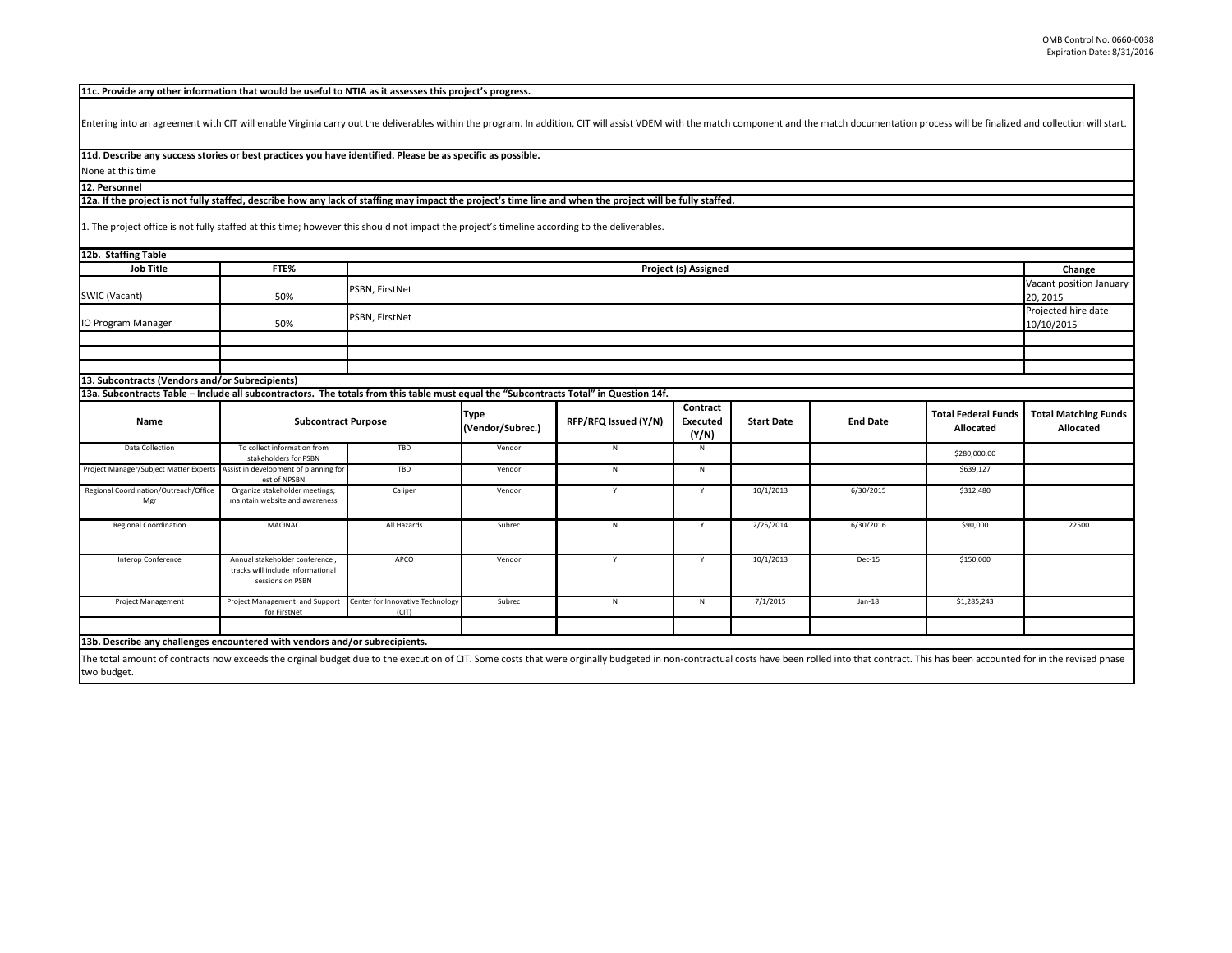**11c. Provide any other information that would be useful to NTIA as it assesses this project's progress.** 

Entering into an agreement with CIT will enable Virginia carry out the deliverables within the program. In addition, CIT will assist VDEM with the match component and the match documentation process will be finalized and c

**11d. Describe any success stories or best practices you have identified. Please be as specific as possible.**

None at this time **12. Personnel** 

**12a. If the project is not fully staffed, describe how any lack of staffing may impact the project's time line and when the project will be fully staffed.**

1. The project office is not fully staffed at this time; however this should not impact the project's timeline according to the deliverables.

| 12b. Staffing Table                                                                                                                                                                                                                           |                                                                                        |                                           |                                 |                      |                                      |                   |                 |                                         |                                          |
|-----------------------------------------------------------------------------------------------------------------------------------------------------------------------------------------------------------------------------------------------|----------------------------------------------------------------------------------------|-------------------------------------------|---------------------------------|----------------------|--------------------------------------|-------------------|-----------------|-----------------------------------------|------------------------------------------|
| <b>Job Title</b>                                                                                                                                                                                                                              | FTE%                                                                                   | Project (s) Assigned                      |                                 |                      |                                      |                   |                 |                                         | Change                                   |
| SWIC (Vacant)                                                                                                                                                                                                                                 | 50%                                                                                    | PSBN, FirstNet                            |                                 |                      |                                      |                   |                 |                                         | Vacant position January<br>20, 2015      |
| IO Program Manager                                                                                                                                                                                                                            | PSBN, FirstNet<br>50%                                                                  |                                           |                                 |                      |                                      |                   |                 |                                         | Projected hire date<br>10/10/2015        |
|                                                                                                                                                                                                                                               |                                                                                        |                                           |                                 |                      |                                      |                   |                 |                                         |                                          |
|                                                                                                                                                                                                                                               |                                                                                        |                                           |                                 |                      |                                      |                   |                 |                                         |                                          |
|                                                                                                                                                                                                                                               |                                                                                        |                                           |                                 |                      |                                      |                   |                 |                                         |                                          |
| 13. Subcontracts (Vendors and/or Subrecipients)                                                                                                                                                                                               |                                                                                        |                                           |                                 |                      |                                      |                   |                 |                                         |                                          |
| 13a. Subcontracts Table - Include all subcontractors. The totals from this table must equal the "Subcontracts Total" in Question 14f.                                                                                                         |                                                                                        |                                           |                                 |                      |                                      |                   |                 |                                         |                                          |
| Name                                                                                                                                                                                                                                          | <b>Subcontract Purpose</b>                                                             |                                           | <b>Type</b><br>(Vendor/Subrec.) | RFP/RFQ Issued (Y/N) | Contract<br><b>Executed</b><br>(Y/N) | <b>Start Date</b> | <b>End Date</b> | <b>Total Federal Funds</b><br>Allocated | <b>Total Matching Funds</b><br>Allocated |
| Data Collection                                                                                                                                                                                                                               | To collect information from<br>stakeholders for PSBN                                   | TBD                                       | Vendor                          | N                    | N                                    |                   |                 | \$280,000.00                            |                                          |
| Project Manager/Subject Matter Experts Assist in development of planning for                                                                                                                                                                  | est of NPSBN                                                                           | TBD                                       | Vendor                          | N                    | N                                    |                   |                 | \$639,127                               |                                          |
| Regional Coordination/Outreach/Office<br>Mgr                                                                                                                                                                                                  | Organize stakeholder meetings;<br>maintain website and awareness                       | Caliper                                   | Vendor                          | Y                    | Y                                    | 10/1/2013         | 6/30/2015       | \$312,480                               |                                          |
| <b>Regional Coordination</b>                                                                                                                                                                                                                  | <b>MACINAC</b>                                                                         | All Hazards                               | Subrec                          | N                    | Y                                    | 2/25/2014         | 6/30/2016       | \$90,000                                | 22500                                    |
| Interop Conference                                                                                                                                                                                                                            | Annual stakeholder conference<br>tracks will include informational<br>sessions on PSBN | APCO                                      | Vendor                          | $\mathsf{v}$         | Y                                    | 10/1/2013         | Dec-15          | \$150,000                               |                                          |
| <b>Project Management</b>                                                                                                                                                                                                                     | Project Management and Support<br>for FirstNet                                         | Center for Innovative Technology<br>(CIT) | Subrec                          | N                    | N                                    | 7/1/2015          | $Jan-18$        | \$1,285,243                             |                                          |
|                                                                                                                                                                                                                                               |                                                                                        |                                           |                                 |                      |                                      |                   |                 |                                         |                                          |
| 13b. Describe any challenges encountered with vendors and/or subrecipients.                                                                                                                                                                   |                                                                                        |                                           |                                 |                      |                                      |                   |                 |                                         |                                          |
| The total amount of contracts now exceeds the orginal budget due to the execution of CIT. Some costs that were orginally budgeted in non-contractual costs have been rolled into that contract. This has been accounted for in<br>two budget. |                                                                                        |                                           |                                 |                      |                                      |                   |                 |                                         |                                          |